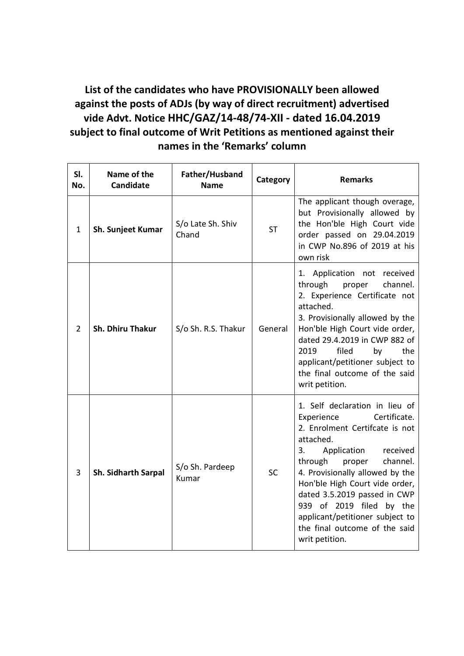**List of the candidates who have PROVISIONALLY been allowed against the posts of ADJs (by way of direct recruitment) advertised vide Advt. Notice HHC/GAZ/14-48/74-XII - dated 16.04.2019 subject to final outcome of Writ Petitions as mentioned against their names in the 'Remarks' column**

| SI.<br>No.   | Name of the<br><b>Candidate</b> | Father/Husband<br><b>Name</b> | Category  | <b>Remarks</b>                                                                                                                                                                                                                                                                                                                                                                                       |
|--------------|---------------------------------|-------------------------------|-----------|------------------------------------------------------------------------------------------------------------------------------------------------------------------------------------------------------------------------------------------------------------------------------------------------------------------------------------------------------------------------------------------------------|
| $\mathbf{1}$ | Sh. Sunjeet Kumar               | S/o Late Sh. Shiv<br>Chand    | <b>ST</b> | The applicant though overage,<br>but Provisionally allowed by<br>the Hon'ble High Court vide<br>order passed on 29.04.2019<br>in CWP No.896 of 2019 at his<br>own risk                                                                                                                                                                                                                               |
| 2            | Sh. Dhiru Thakur                | S/o Sh. R.S. Thakur           | General   | 1. Application not received<br>through<br>channel.<br>proper<br>2. Experience Certificate not<br>attached.<br>3. Provisionally allowed by the<br>Hon'ble High Court vide order,<br>dated 29.4.2019 in CWP 882 of<br>filed<br>2019<br>the<br>by<br>applicant/petitioner subject to<br>the final outcome of the said<br>writ petition.                                                                 |
| 3            | <b>Sh. Sidharth Sarpal</b>      | S/o Sh. Pardeep<br>Kumar      | <b>SC</b> | 1. Self declaration in lieu of<br>Certificate.<br>Experience<br>2. Enrolment Certifcate is not<br>attached.<br>3.<br>Application<br>received<br>through<br>proper<br>channel.<br>4. Provisionally allowed by the<br>Hon'ble High Court vide order,<br>dated 3.5.2019 passed in CWP<br>939 of 2019 filed by the<br>applicant/petitioner subject to<br>the final outcome of the said<br>writ petition. |